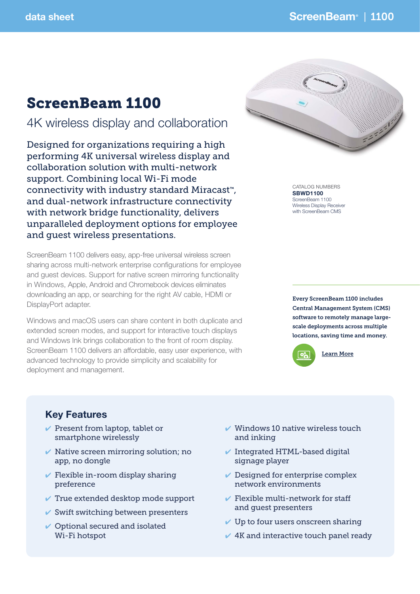# ScreenBeam 1100

## 4K wireless display and collaboration

Designed for organizations requiring a high performing 4K universal wireless display and collaboration solution with multi-network support. Combining local Wi-Fi mode connectivity with industry standard Miracast™, and dual-network infrastructure connectivity with network bridge functionality, delivers unparalleled deployment options for employee and guest wireless presentations.

ScreenBeam 1100 delivers easy, app-free universal wireless screen sharing across multi-network enterprise configurations for employee and guest devices. Support for native screen mirroring functionality in Windows, Apple, Android and Chromebook devices eliminates downloading an app, or searching for the right AV cable, HDMI or DisplayPort adapter.

Windows and macOS users can share content in both duplicate and extended screen modes, and support for interactive touch displays and Windows Ink brings collaboration to the front of room display. ScreenBeam 1100 delivers an affordable, easy user experience, with advanced technology to provide simplicity and scalability for deployment and management.



CATALOG NUMBERS SBWD1100 ScreenBeam 1100 Wireless Display Receiver with ScreenBeam CMS

Every ScreenBeam 1100 includes Central Management System (CMS) software to remotely manage largescale deployments across multiple locations, saving time and money.



### Key Features

- $\vee$  Present from laptop, tablet or smartphone wirelessly
- $\vee$  Native screen mirroring solution; no app, no dongle
- $\checkmark$  Flexible in-room display sharing preference
- $\vee$  True extended desktop mode support
- $\checkmark$  Swift switching between presenters
- $\vee$  Optional secured and isolated Wi-Fi hotspot
- $\vee$  Windows 10 native wireless touch and inking
- $\checkmark$  Integrated HTML-based digital signage player
- $\vee$  Designed for enterprise complex network environments
- $\checkmark$  Flexible multi-network for staff and guest presenters
- $\vee$  Up to four users onscreen sharing
- $\vee$  4K and interactive touch panel ready